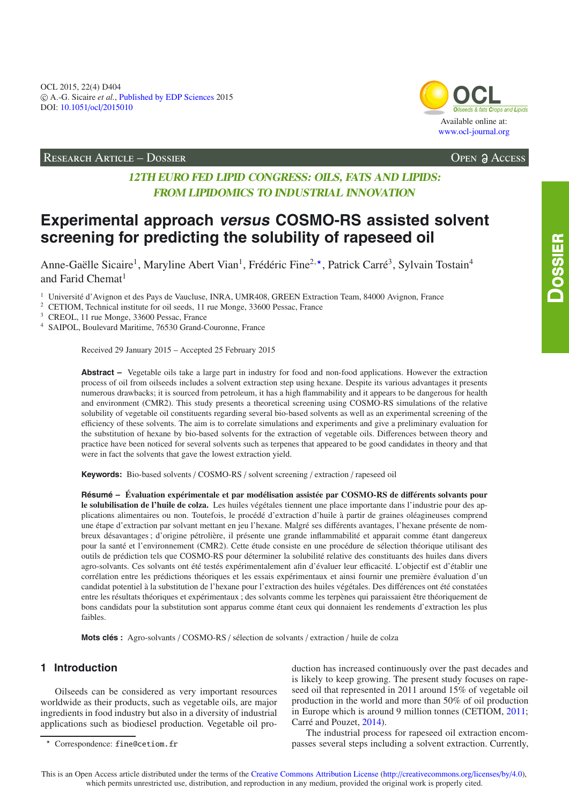

RESEARCH ARTICLE – DOSSIER Open Access

## **12TH EURO FED LIPID CONGRESS: OILS, FATS AND LIPIDS: FROM LIPIDOMICS TO INDUSTRIAL INNOVATION**

# **Experimental approach versus COSMO-RS assisted solvent screening for predicting the solubility of rapeseed oil**

Anne-Gaëlle Sicaire<sup>1</sup>, Maryline Abert Vian<sup>1</sup>, Frédéric Fine<sup>2,\*</sup>, Patrick Carré<sup>3</sup>, Sylvain Tostain<sup>4</sup> and Farid Chemat<sup>1</sup>

<sup>1</sup> Université d'Avignon et des Pays de Vaucluse, INRA, UMR408, GREEN Extraction Team, 84000 Avignon, France

<sup>2</sup> CETIOM, Technical institute for oil seeds, 11 rue Monge, 33600 Pessac, France

<sup>3</sup> CREOL, 11 rue Monge, 33600 Pessac, France

<sup>4</sup> SAIPOL, Boulevard Maritime, 76530 Grand-Couronne, France

Received 29 January 2015 – Accepted 25 February 2015

**Abstract –** Vegetable oils take a large part in industry for food and non-food applications. However the extraction process of oil from oilseeds includes a solvent extraction step using hexane. Despite its various advantages it presents numerous drawbacks; it is sourced from petroleum, it has a high flammability and it appears to be dangerous for health and environment (CMR2). This study presents a theoretical screening using COSMO-RS simulations of the relative solubility of vegetable oil constituents regarding several bio-based solvents as well as an experimental screening of the efficiency of these solvents. The aim is to correlate simulations and experiments and give a preliminary evaluation for the substitution of hexane by bio-based solvents for the extraction of vegetable oils. Differences between theory and practice have been noticed for several solvents such as terpenes that appeared to be good candidates in theory and that were in fact the solvents that gave the lowest extraction yield.

**Keywords:** Bio-based solvents / COSMO-RS / solvent screening / extraction / rapeseed oil

**Résumé – Évaluation expérimentale et par modélisation assistée par COSMO-RS de di**ff**érents solvants pour le solubilisation de l'huile de colza.** Les huiles végétales tiennent une place importante dans l'industrie pour des applications alimentaires ou non. Toutefois, le procédé d'extraction d'huile à partir de graines oléagineuses comprend une étape d'extraction par solvant mettant en jeu l'hexane. Malgré ses différents avantages, l'hexane présente de nombreux désavantages ; d'origine pétrolière, il présente une grande inflammabilité et apparait comme étant dangereux pour la santé et l'environnement (CMR2). Cette étude consiste en une procédure de sélection théorique utilisant des outils de prédiction tels que COSMO-RS pour déterminer la solubilité relative des constituants des huiles dans divers agro-solvants. Ces solvants ont été testés expérimentalement afin d'évaluer leur efficacité. L'objectif est d'établir une corrélation entre les prédictions théoriques et les essais expérimentaux et ainsi fournir une première évaluation d'un candidat potentiel à la substitution de l'hexane pour l'extraction des huiles végétales. Des différences ont été constatées entre les résultats théoriques et expérimentaux ; des solvants comme les terpènes qui paraissaient être théoriquement de bons candidats pour la substitution sont apparus comme étant ceux qui donnaient les rendements d'extraction les plus faibles.

**Mots clés :** Agro-solvants / COSMO-RS / sélection de solvants / extraction / huile de colza

## **1 Introduction**

Oilseeds can be considered as very important resources worldwide as their products, such as vegetable oils, are major ingredients in food industry but also in a diversity of industrial applications such as biodiesel production. Vegetable oil production has increased continuously over the past decades and is likely to keep growing. The present study focuses on rapeseed oil that represented in 2011 around 15% of vegetable oil production in the world and more than 50% of oil production in Europe which is around 9 million tonnes (CETIOM, [2011;](#page-6-0) Carré and Pouzet, [2014](#page-6-1)).

The industrial process for rapeseed oil extraction encompasses several steps including a solvent extraction. Currently,

 $\star$ Correspondence: fine@cetiom.fr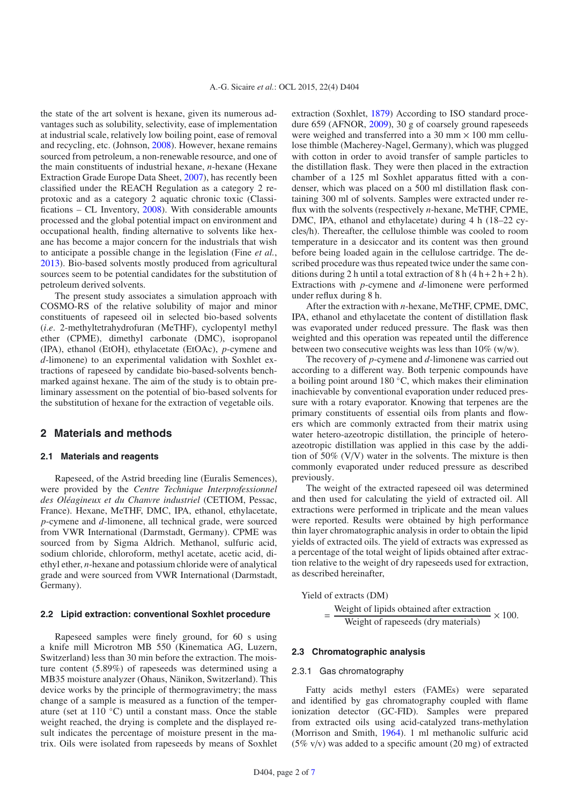the state of the art solvent is hexane, given its numerous advantages such as solubility, selectivity, ease of implementation at industrial scale, relatively low boiling point, ease of removal and recycling, etc. (Johnson, [2008\)](#page-6-2). However, hexane remains sourced from petroleum, a non-renewable resource, and one of the main constituents of industrial hexane, *n*-hexane (Hexane Extraction Grade Europe Data Sheet, [2007\)](#page-6-3), has recently been classified under the REACH Regulation as a category 2 reprotoxic and as a category 2 aquatic chronic toxic (Classifications – CL Inventory, [2008](#page-6-4)). With considerable amounts processed and the global potential impact on environment and occupational health, finding alternative to solvents like hexane has become a major concern for the industrials that wish to anticipate a possible change in the legislation (Fine *et al.*, [2013\)](#page-6-5). Bio-based solvents mostly produced from agricultural sources seem to be potential candidates for the substitution of petroleum derived solvents.

The present study associates a simulation approach with COSMO-RS of the relative solubility of major and minor constituents of rapeseed oil in selected bio-based solvents (*i*.*e*. 2-methyltetrahydrofuran (MeTHF), cyclopentyl methyl ether (CPME), dimethyl carbonate (DMC), isopropanol (IPA), ethanol (EtOH), ethylacetate (EtOAc), *p*-cymene and *d*-limonene) to an experimental validation with Soxhlet extractions of rapeseed by candidate bio-based-solvents benchmarked against hexane. The aim of the study is to obtain preliminary assessment on the potential of bio-based solvents for the substitution of hexane for the extraction of vegetable oils.

#### **2 Materials and methods**

#### **2.1 Materials and reagents**

Rapeseed, of the Astrid breeding line (Euralis Semences), were provided by the *Centre Technique Interprofessionnel des Oléagineux et du Chanvre industriel* (CETIOM, Pessac, France). Hexane, MeTHF, DMC, IPA, ethanol, ethylacetate, *p*-cymene and *d*-limonene, all technical grade, were sourced from VWR International (Darmstadt, Germany). CPME was sourced from by Sigma Aldrich. Methanol, sulfuric acid, sodium chloride, chloroform, methyl acetate, acetic acid, diethyl ether, *n*-hexane and potassium chloride were of analytical grade and were sourced from VWR International (Darmstadt, Germany).

#### **2.2 Lipid extraction: conventional Soxhlet procedure**

Rapeseed samples were finely ground, for 60 s using a knife mill Microtron MB 550 (Kinematica AG, Luzern, Switzerland) less than 30 min before the extraction. The moisture content (5.89%) of rapeseeds was determined using a MB35 moisture analyzer (Ohaus, Nänikon, Switzerland). This device works by the principle of thermogravimetry; the mass change of a sample is measured as a function of the temperature (set at 110 ◦C) until a constant mass. Once the stable weight reached, the drying is complete and the displayed result indicates the percentage of moisture present in the matrix. Oils were isolated from rapeseeds by means of Soxhlet extraction (Soxhlet, [1879\)](#page-6-6) According to ISO standard procedure 659 (AFNOR, [2009](#page-6-7)), 30 g of coarsely ground rapeseeds were weighed and transferred into a 30 mm  $\times$  100 mm cellulose thimble (Macherey-Nagel, Germany), which was plugged with cotton in order to avoid transfer of sample particles to the distillation flask. They were then placed in the extraction chamber of a 125 ml Soxhlet apparatus fitted with a condenser, which was placed on a 500 ml distillation flask containing 300 ml of solvents. Samples were extracted under reflux with the solvents (respectively *n*-hexane, MeTHF, CPME, DMC, IPA, ethanol and ethylacetate) during 4 h (18–22 cycles/h). Thereafter, the cellulose thimble was cooled to room temperature in a desiccator and its content was then ground before being loaded again in the cellulose cartridge. The described procedure was thus repeated twice under the same conditions during 2 h until a total extraction of 8 h  $(4 h + 2 h + 2 h)$ . Extractions with *p*-cymene and *d*-limonene were performed under reflux during 8 h.

After the extraction with *n*-hexane, MeTHF, CPME, DMC, IPA, ethanol and ethylacetate the content of distillation flask was evaporated under reduced pressure. The flask was then weighted and this operation was repeated until the difference between two consecutive weights was less than 10% (w/w).

The recovery of *p*-cymene and *d*-limonene was carried out according to a different way. Both terpenic compounds have a boiling point around 180 ◦C, which makes their elimination inachievable by conventional evaporation under reduced pressure with a rotary evaporator. Knowing that terpenes are the primary constituents of essential oils from plants and flowers which are commonly extracted from their matrix using water hetero-azeotropic distillation, the principle of heteroazeotropic distillation was applied in this case by the addition of 50% (V/V) water in the solvents. The mixture is then commonly evaporated under reduced pressure as described previously.

The weight of the extracted rapeseed oil was determined and then used for calculating the yield of extracted oil. All extractions were performed in triplicate and the mean values were reported. Results were obtained by high performance thin layer chromatographic analysis in order to obtain the lipid yields of extracted oils. The yield of extracts was expressed as a percentage of the total weight of lipids obtained after extraction relative to the weight of dry rapeseeds used for extraction, as described hereinafter,

Yield of extracts (DM)

$$
= \frac{\text{Weight of lipids obtained after extraction}}{\text{Weight of rapeseds (dry materials)}} \times 100.
$$

#### **2.3 Chromatographic analysis**

#### 2.3.1 Gas chromatography

Fatty acids methyl esters (FAMEs) were separated and identified by gas chromatography coupled with flame ionization detector (GC-FID). Samples were prepared from extracted oils using acid-catalyzed trans-methylation (Morrison and Smith, [1964](#page-6-8)). 1 ml methanolic sulfuric acid ( $5\%$  v/v) was added to a specific amount ( $20$  mg) of extracted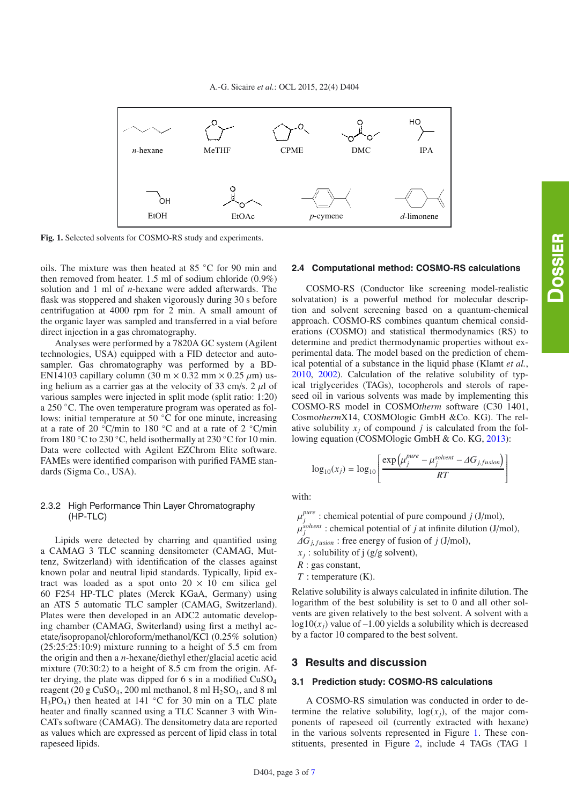<span id="page-2-0"></span>

**Fig. 1.** Selected solvents for COSMO-RS study and experiments.

oils. The mixture was then heated at 85 ◦C for 90 min and then removed from heater. 1.5 ml of sodium chloride (0.9%) solution and 1 ml of *n*-hexane were added afterwards. The flask was stoppered and shaken vigorously during 30 s before centrifugation at 4000 rpm for 2 min. A small amount of the organic layer was sampled and transferred in a vial before direct injection in a gas chromatography.

Analyses were performed by a 7820A GC system (Agilent technologies, USA) equipped with a FID detector and autosampler. Gas chromatography was performed by a BD-EN14103 capillary column (30 m  $\times$  0.32 mm  $\times$  0.25  $\mu$ m) using helium as a carrier gas at the velocity of 33 cm/s.  $2 \mu l$  of various samples were injected in split mode (split ratio: 1:20) a 250 ◦C. The oven temperature program was operated as follows: initial temperature at 50 ◦C for one minute, increasing at a rate of 20 °C/min to 180 °C and at a rate of 2 °C/min from 180 °C to 230 °C, held isothermally at 230 °C for 10 min. Data were collected with Agilent EZChrom Elite software. FAMEs were identified comparison with purified FAME standards (Sigma Co., USA).

#### 2.3.2 High Performance Thin Layer Chromatography (HP-TLC)

Lipids were detected by charring and quantified using a CAMAG 3 TLC scanning densitometer (CAMAG, Muttenz, Switzerland) with identification of the classes against known polar and neutral lipid standards. Typically, lipid extract was loaded as a spot onto  $20 \times 10$  cm silica gel 60 F254 HP-TLC plates (Merck KGaA, Germany) using an ATS 5 automatic TLC sampler (CAMAG, Switzerland). Plates were then developed in an ADC2 automatic developing chamber (CAMAG, Switerland) using first a methyl acetate/isopropanol/chloroform/methanol/KCl (0.25% solution)  $(25:25:25:10:9)$  mixture running to a height of 5.5 cm from the origin and then a *n*-hexane/diethyl ether/glacial acetic acid mixture (70:30:2) to a height of 8.5 cm from the origin. After drying, the plate was dipped for 6 s in a modified CuSO4 reagent (20 g  $CuSO<sub>4</sub>$ , 200 ml methanol, 8 ml  $H<sub>2</sub>SO<sub>4</sub>$ , and 8 ml H<sub>3</sub>PO<sub>4</sub>) then heated at 141 °C for 30 min on a TLC plate heater and finally scanned using a TLC Scanner 3 with Win-CATs software (CAMAG). The densitometry data are reported as values which are expressed as percent of lipid class in total rapeseed lipids.

#### **2.4 Computational method: COSMO-RS calculations**

COSMO-RS (Conductor like screening model-realistic solvatation) is a powerful method for molecular description and solvent screening based on a quantum-chemical approach. COSMO-RS combines quantum chemical considerations (COSMO) and statistical thermodynamics (RS) to determine and predict thermodynamic properties without experimental data. The model based on the prediction of chemical potential of a substance in the liquid phase (Klamt *et al.*, [2010,](#page-6-10) [2002\)](#page-6-11). Calculation of the relative solubility of typical triglycerides (TAGs), tocopherols and sterols of rapeseed oil in various solvents was made by implementing this COSMO-RS model in COSMO*therm* software (C30 1401, Cosmo*therm*X14, COSMOlogic GmbH &Co. KG). The relative solubility  $x_i$  of compound *j* is calculated from the following equation (COSMOlogic GmbH & Co. KG, [2013](#page-6-12)):

$$
\log_{10}(x_j) = \log_{10}\left[\frac{\exp\left(\mu_j^{pure} - \mu_j^{solvent} - \Delta G_{j, fusion}\right)}{RT}\right]
$$

with:

 $\mu_j^{pure}$  : chemical potential of pure compound *j* (J/mol),  $\mu_i^{solvent}$ : chemical potential of *j* at infinite dilution (J/mol),  $\Delta G_{i, fusion}$ : free energy of fusion of *j* (J/mol),  $x_i$ : solubility of j (g/g solvent),

*R* : gas constant,

*T* : temperature (K).

Relative solubility is always calculated in infinite dilution. The logarithm of the best solubility is set to 0 and all other solvents are given relatively to the best solvent. A solvent with a  $log10(x_i)$  value of  $-1.00$  yields a solubility which is decreased by a factor 10 compared to the best solvent.

#### **3 Results and discussion**

#### **3.1 Prediction study: COSMO-RS calculations**

A COSMO-RS simulation was conducted in order to determine the relative solubility,  $log(x_i)$ , of the major components of rapeseed oil (currently extracted with hexane) in the various solvents represented in Figure [1.](#page-2-0) These constituents, presented in Figure [2,](#page-3-0) include 4 TAGs (TAG 1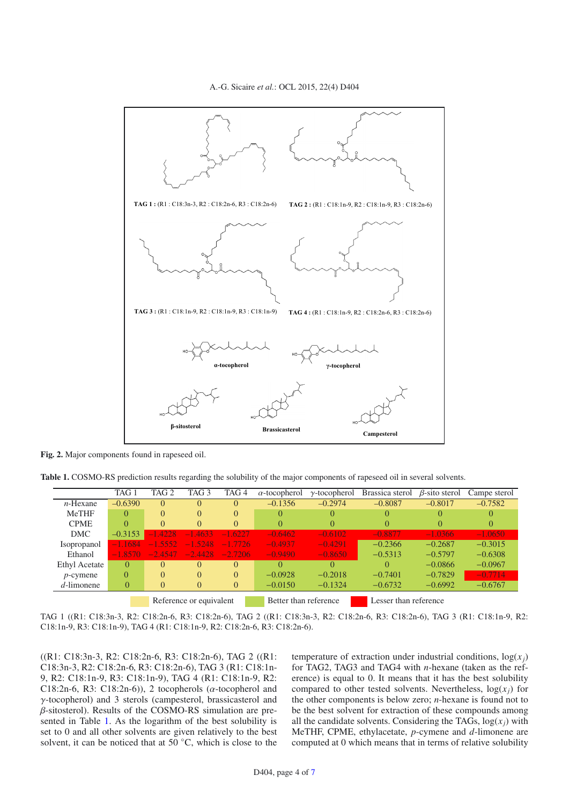A.-G. Sicaire *et al.*: OCL 2015, 22(4) D404



<span id="page-3-1"></span><span id="page-3-0"></span>**Fig. 2.** Major components found in rapeseed oil.

**Table 1.** COSMO-RS prediction results regarding the solubility of the major components of rapeseed oil in several solvents.

|                    | TAG 1     | TAG 2     | TAG 3                   | TAG 4     | $\alpha$ -tocopherol  | $\gamma$ -tocopherol | Brassica sterol       | $\beta$ -sito sterol | Campe sterol |
|--------------------|-----------|-----------|-------------------------|-----------|-----------------------|----------------------|-----------------------|----------------------|--------------|
| $n$ -Hexane        | $-0.6390$ | $\Omega$  | 0                       | $\Omega$  | $-0.1356$             | $-0.2974$            | $-0.8087$             | $-0.8017$            | $-0.7582$    |
| MeTHF              | 0         | $\Omega$  | 0                       | $\Omega$  | 0                     | $\Omega$             | $\Omega$              | 0                    | $\Omega$     |
| <b>CPME</b>        | $\Omega$  | $\Omega$  | 0                       | $\Omega$  | $\theta$              | $\Omega$             | $\Omega$              | $\Omega$             | 0            |
| <b>DMC</b>         | $-0.3153$ | $-1.4228$ | $-1.4633$               | $-1.6227$ | $-0.6462$             | $-0.6102$            | $-0.8877$             | $-1.0366$            | $-1.0650$    |
| <i>Isopropanol</i> | $-1.1684$ | $-1.5552$ | $-1.5248$               | $-1.7726$ | $-0.4937$             | $-0.4291$            | $-0.2366$             | $-0.2687$            | $-0.3015$    |
| Ethanol            | $-1.8570$ | $-2.4547$ | $-2.4428$               | $-2.7206$ | $-0.9490$             | $-0.8650$            | $-0.5313$             | $-0.5797$            | $-0.6308$    |
| Ethyl Acetate      | 0         | $\Omega$  | 0                       | $\Omega$  | $\Omega$              | $\Omega$             | $\Omega$              | $-0.0866$            | $-0.0967$    |
| $p$ -cymene        | $\Omega$  | $\Omega$  | 0                       | $\Omega$  | $-0.0928$             | $-0.2018$            | $-0.7401$             | $-0.7829$            | $-0.7714$    |
| $d$ -limonene      | $\Omega$  | $\Omega$  | 0                       | $\Omega$  | $-0.0150$             | $-0.1324$            | $-0.6732$             | $-0.6992$            | $-0.6767$    |
|                    |           |           | Reference or equivalent |           | Better than reference |                      | Lesser than reference |                      |              |

TAG 1 ((R1: C18:3n-3, R2: C18:2n-6, R3: C18:2n-6), TAG 2 ((R1: C18:3n-3, R2: C18:2n-6, R3: C18:2n-6), TAG 3 (R1: C18:1n-9, R2: C18:1n-9, R3: C18:1n-9), TAG 4 (R1: C18:1n-9, R2: C18:2n-6, R3: C18:2n-6).

((R1: C18:3n-3, R2: C18:2n-6, R3: C18:2n-6), TAG 2 ((R1: C18:3n-3, R2: C18:2n-6, R3: C18:2n-6), TAG 3 (R1: C18:1n-9, R2: C18:1n-9, R3: C18:1n-9), TAG 4 (R1: C18:1n-9, R2: C18:2n-6, R3: C18:2n-6)), 2 tocopherols ( $\alpha$ -tocopherol and γ-tocopherol) and 3 sterols (campesterol, brassicasterol and β-sitosterol). Results of the COSMO-RS simulation are presented in Table [1.](#page-3-1) As the logarithm of the best solubility is set to 0 and all other solvents are given relatively to the best solvent, it can be noticed that at 50 ◦C, which is close to the temperature of extraction under industrial conditions,  $log(x_i)$ for TAG2, TAG3 and TAG4 with *n*-hexane (taken as the reference) is equal to 0. It means that it has the best solubility compared to other tested solvents. Nevertheless,  $log(x_i)$  for the other components is below zero; *n*-hexane is found not to be the best solvent for extraction of these compounds among all the candidate solvents. Considering the TAGs,  $log(x_i)$  with MeTHF, CPME, ethylacetate, *p*-cymene and *d*-limonene are computed at 0 which means that in terms of relative solubility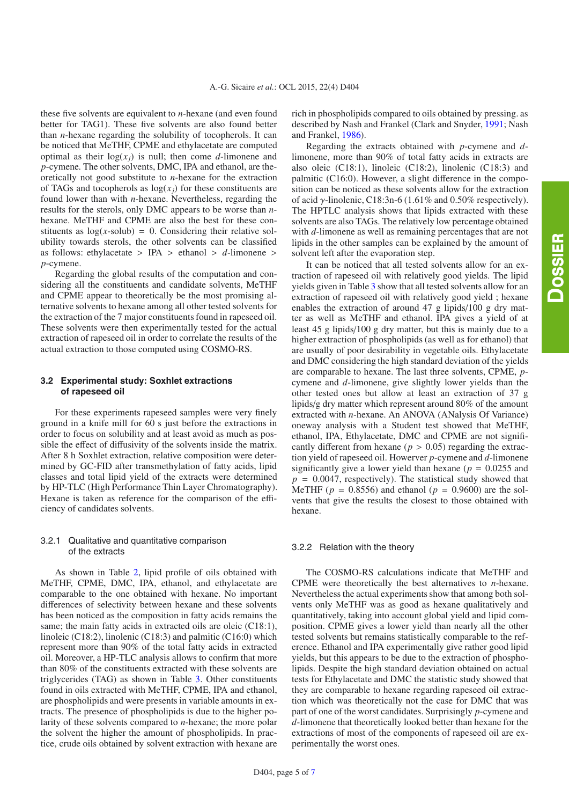these five solvents are equivalent to *n*-hexane (and even found better for TAG1). These five solvents are also found better than *n*-hexane regarding the solubility of tocopherols. It can be noticed that MeTHF, CPME and ethylacetate are computed optimal as their  $log(x_i)$  is null; then come *d*-limonene and *p*-cymene. The other solvents, DMC, IPA and ethanol, are theoretically not good substitute to *n*-hexane for the extraction of TAGs and tocopherols as  $log(x_i)$  for these constituents are found lower than with *n*-hexane. Nevertheless, regarding the results for the sterols, only DMC appears to be worse than *n*hexane. MeTHF and CPME are also the best for these constituents as  $log(x$ -solub) = 0. Considering their relative solubility towards sterols, the other solvents can be classified as follows: ethylacetate > IPA > ethanol > *d*-limonene > *p*-cymene.

Regarding the global results of the computation and considering all the constituents and candidate solvents, MeTHF and CPME appear to theoretically be the most promising alternative solvents to hexane among all other tested solvents for the extraction of the 7 major constituents found in rapeseed oil. These solvents were then experimentally tested for the actual extraction of rapeseed oil in order to correlate the results of the actual extraction to those computed using COSMO-RS.

#### **3.2 Experimental study: Soxhlet extractions of rapeseed oil**

For these experiments rapeseed samples were very finely ground in a knife mill for 60 s just before the extractions in order to focus on solubility and at least avoid as much as possible the effect of diffusivity of the solvents inside the matrix. After 8 h Soxhlet extraction, relative composition were determined by GC-FID after transmethylation of fatty acids, lipid classes and total lipid yield of the extracts were determined by HP-TLC (High Performance Thin Layer Chromatography). Hexane is taken as reference for the comparison of the efficiency of candidates solvents.

#### 3.2.1 Qualitative and quantitative comparison of the extracts

As shown in Table [2,](#page-5-0) lipid profile of oils obtained with MeTHF, CPME, DMC, IPA, ethanol, and ethylacetate are comparable to the one obtained with hexane. No important differences of selectivity between hexane and these solvents has been noticed as the composition in fatty acids remains the same; the main fatty acids in extracted oils are oleic (C18:1), linoleic (C18:2), linolenic (C18:3) and palmitic (C16:0) which represent more than 90% of the total fatty acids in extracted oil. Moreover, a HP-TLC analysis allows to confirm that more than 80% of the constituents extracted with these solvents are triglycerides (TAG) as shown in Table [3.](#page-5-1) Other constituents found in oils extracted with MeTHF, CPME, IPA and ethanol, are phospholipids and were presents in variable amounts in extracts. The presence of phospholipids is due to the higher polarity of these solvents compared to *n*-hexane; the more polar the solvent the higher the amount of phospholipids. In practice, crude oils obtained by solvent extraction with hexane are rich in phospholipids compared to oils obtained by pressing. as described by Nash and Frankel (Clark and Snyder, [1991](#page-6-13); Nash and Frankel, [1986\)](#page-6-14).

Regarding the extracts obtained with *p*-cymene and *d*limonene, more than 90% of total fatty acids in extracts are also oleic (C18:1), linoleic (C18:2), linolenic (C18:3) and palmitic (C16:0). However, a slight difference in the composition can be noticed as these solvents allow for the extraction of acid  $\gamma$ -linolenic, C18:3n-6 (1.61% and 0.50% respectively). The HPTLC analysis shows that lipids extracted with these solvents are also TAGs. The relatively low percentage obtained with *d*-limonene as well as remaining percentages that are not lipids in the other samples can be explained by the amount of solvent left after the evaporation step.

It can be noticed that all tested solvents allow for an extraction of rapeseed oil with relatively good yields. The lipid yields given in Table [3](#page-5-1) show that all tested solvents allow for an extraction of rapeseed oil with relatively good yield ; hexane enables the extraction of around 47 g lipids/100 g dry matter as well as MeTHF and ethanol. IPA gives a yield of at least 45 g lipids/100 g dry matter, but this is mainly due to a higher extraction of phospholipids (as well as for ethanol) that are usually of poor desirability in vegetable oils. Ethylacetate and DMC considering the high standard deviation of the yields are comparable to hexane. The last three solvents, CPME, *p*cymene and *d*-limonene, give slightly lower yields than the other tested ones but allow at least an extraction of 37 g lipids/g dry matter which represent around 80% of the amount extracted with *n*-hexane. An ANOVA (ANalysis Of Variance) oneway analysis with a Student test showed that MeTHF, ethanol, IPA, Ethylacetate, DMC and CPME are not significantly different from hexane ( $p > 0.05$ ) regarding the extraction yield of rapeseed oil. Howerver *p*-cymene and *d*-limonene significantly give a lower yield than hexane ( $p = 0.0255$  and  $p = 0.0047$ , respectively). The statistical study showed that MeTHF ( $p = 0.8556$ ) and ethanol ( $p = 0.9600$ ) are the solvents that give the results the closest to those obtained with hexane.

#### 3.2.2 Relation with the theory

The COSMO-RS calculations indicate that MeTHF and CPME were theoretically the best alternatives to *n*-hexane. Nevertheless the actual experiments show that among both solvents only MeTHF was as good as hexane qualitatively and quantitatively, taking into account global yield and lipid composition. CPME gives a lower yield than nearly all the other tested solvents but remains statistically comparable to the reference. Ethanol and IPA experimentally give rather good lipid yields, but this appears to be due to the extraction of phospholipids. Despite the high standard deviation obtained on actual tests for Ethylacetate and DMC the statistic study showed that they are comparable to hexane regarding rapeseed oil extraction which was theoretically not the case for DMC that was part of one of the worst candidates. Surprisingly *p*-cymene and *d*-limonene that theoretically looked better than hexane for the extractions of most of the components of rapeseed oil are experimentally the worst ones.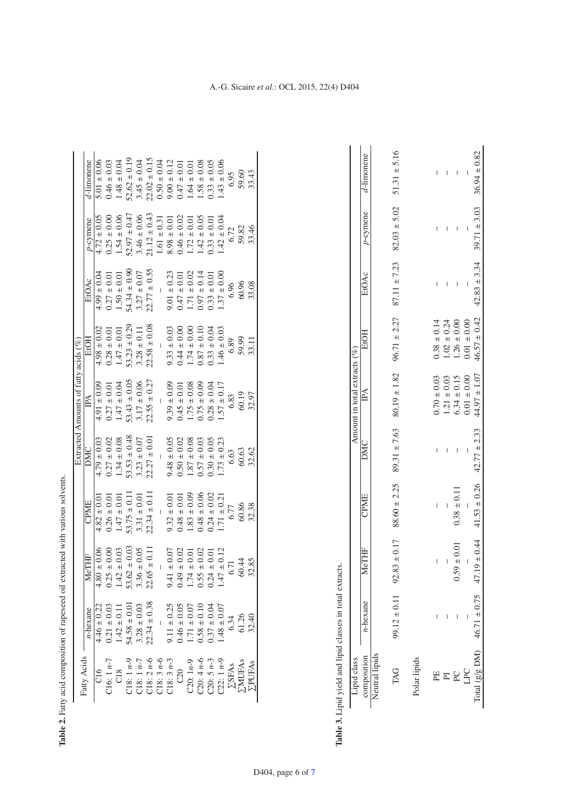|                                              |                                    |                                                         |                   |                  | Extracted Amounts of fatty acids $(\%$ ) |                  |                  |                  |                  |
|----------------------------------------------|------------------------------------|---------------------------------------------------------|-------------------|------------------|------------------------------------------|------------------|------------------|------------------|------------------|
| Fatty Acids                                  | $n$ -hexane                        | <b>ETHF</b>                                             | CPME              | DMC              | $\mathbb{P}\mathbb{A}$                   | EFOH             | <b>EtOAc</b>     | p-cymene         | $d$ -limonene    |
| C16                                          | $4.46 \pm 0.22$                    | $4.80 \pm 0.06$                                         | $4.82 \pm 0.01$   | $4.79 \pm 0.03$  | $4.91 \pm 0.09$                          | $4.98 \pm 0.02$  | $4.99 \pm 0.04$  | $4.72 \pm 0.05$  | $5.01 \pm 0.06$  |
| $716:1 n-7$                                  | $0.21 \pm 0.03$                    | $\pm 0.00$<br>0.25                                      | $0.26 \pm 0.01$   | $0.27 \pm 0.02$  | $0.27 \pm 0.01$                          | $0.28 \pm 0.01$  | $0.27 \pm 0.01$  | $0.25 \pm 0.00$  | $0.46 \pm 0.03$  |
| C18                                          | $1.42 \pm 0.11$                    | $\pm 0.03$<br>1.42                                      | $1.47 \pm 0.01$   | $1.34 \pm 0.08$  | $1.47 \pm 0.04$                          | $1.47 \pm 0.01$  | $1.50 \pm 0.01$  | $1.54 \pm 0.06$  | $1.48 \pm 0.04$  |
| $-18:1 n-9$                                  | $.0.04 - 854.4$                    | $53.62 \pm 0.03$<br>$3.36 \pm 0.05$<br>$22.65 \pm 0.11$ | $53.75 \pm 0.1$   | $53.53 \pm 0.48$ | $53.43 \pm 0.05$                         | $53.23 \pm 0.29$ | $54.34 \pm 0.90$ | $52.97 \pm 0.47$ | $52.62 \pm 0.19$ |
| $218:1 n-7$                                  | $0.28 \pm 0.03$                    |                                                         | $3.31 \pm 0.01$   | $3.23 \pm 0.07$  | $3.17 \pm 0.06$                          | $3.28 \pm 0.11$  | $3.27 \pm 0.07$  | $3.46 \pm 0.06$  | $3.45 \pm 0.04$  |
| $C18: 2 n-6$<br>$C18: 3 n-6$                 | $2.34 \pm 0.38$                    |                                                         | $22.34 \pm 0.11$  | $22.27 \pm 0.0$  | $22.55 \pm 0.27$                         | $22.58 \pm 0.08$ | $22.77 \pm 0.55$ | $21.12 \pm 0.43$ | $22.02 \pm 0.15$ |
|                                              |                                    |                                                         |                   |                  |                                          |                  |                  | $1.61 \pm 0.3$   | $0.50 \pm 0.04$  |
| $C18: 3n-3$                                  | $9.11 \pm 0.25$<br>0.46 $\pm 0.05$ | $\pm 0.07$                                              | $9.32 \pm 0.01$   | $0.05 + 0.05$    | $0.39 \pm 0.09$                          | $9.33 \pm 0.03$  | $9.01 \pm 0.23$  | $8.98 \pm 0.0$   | $9.00 \pm 0.12$  |
| C20                                          |                                    | $\pm 0.02$<br>$33702$<br>$-0.58$                        | $0.0148 \pm 0.01$ | $0.50 \pm 0.02$  | $0.45 \pm 0.0$                           | $0.44 \pm 0.00$  | $0.47 \pm 0.01$  | $0.46 \pm 0.02$  | $0.01 + 0.01$    |
| $C20: 1n-9$                                  | $1.71 \pm 0.07$                    | $\pm 0.01$                                              | $.83 \pm 0.09$    | $.87 \pm 0.08$   | $1.75 \pm 0.08$                          | $1.74 \pm 0.00$  | $1.71 \pm 0.02$  | $1.72 \pm 0.01$  | $1.64 \pm 0.01$  |
| C20: $4 n-6$<br>C20: $5 n-3$<br>C22: 1 $n-9$ | $0.58 \pm 0.10$                    | $\pm 0.02$                                              | $0.06$ ± 8.48     | $0.57 \pm 0.03$  | $0.75 \pm 0.09$                          | $0.87 \pm 0.10$  | $0.97 \pm 0.14$  | $1.42 \pm 0.05$  | $1.58 \pm 0.08$  |
|                                              | $0.37 \pm 0.04$                    | $\pm 0.01$                                              | $0.04 \pm 0.02$   | $0.30 \pm 0.05$  | $0.28 \pm 0.04$                          | $0.33 \pm 0.04$  | $0.33 \pm 0.01$  | $0.33 \pm 0.01$  | $0.33 \pm 0.05$  |
|                                              | $1.48 \pm 0.07$                    | $\pm 0.12$<br>$\overline{47}$                           | $.71 \pm 0.21$    | $.73 \pm 0.23$   | $1.57 \pm 0.17$                          | $.46 \pm 0.03$   | $0.37 \pm 0.00$  | $1.42 \pm 0.04$  | $.43 \pm 0.06$   |
| <b>ZSFAs</b>                                 | 6.34                               | 5.71                                                    | 6.77              | 6.63             | 6.83                                     | 6.89             | 6.96             | 6.72             | 6.95             |
| <b>NUFAS</b>                                 | 61.26                              | 60.44                                                   | 60.86             | 60.63            | 60.19                                    | 59.99            | 60.96            | 59.82            | 59.60            |
| <b>SPUFAS</b>                                | 32.40                              | 32.85                                                   | 32.38             | 32.62            | 32.97                                    | 33.11            | 33.08            | 33.46            | 33.43            |

<span id="page-5-0"></span>Table 2. Fatty acid composition of rapeseed oil extracted with various solvents. **Table 2.** Fatty acid composition of rapeseed oil extracted with various solvents.

<span id="page-5-1"></span>Table 3. Lipid yield and lipid classes in total extracts. **Table 3.** Lipid yield and lipid classes in total extracts.  $\mathbf{l}$ 

| Lipid class                                                                        |                       |                      |                 |     | Amount in total extracts ( $\%$ ) |                  |                                                                                                                                                                          |                                                    |   |
|------------------------------------------------------------------------------------|-----------------------|----------------------|-----------------|-----|-----------------------------------|------------------|--------------------------------------------------------------------------------------------------------------------------------------------------------------------------|----------------------------------------------------|---|
|                                                                                    | $\sum_{n=1}^{\infty}$ | <b>LeTHF</b>         | CPME            | DMC | $\mathbb{P}\mathbb{A}$            | <b>EtOH</b>      | EtOAc                                                                                                                                                                    | $p$ -cymene $d$ -limonene                          |   |
| Neutral lipids                                                                     |                       |                      |                 |     |                                   |                  |                                                                                                                                                                          |                                                    |   |
| TAG                                                                                |                       |                      |                 |     |                                   |                  | $91.2 \pm 0.11$ $92.83 \pm 0.17$ $92.83 \pm 0.17$ $83.60 \pm 2.25$ $89.31 \pm 7.63$ $80.19 \pm 1.82$ $96.71 \pm 2.27$ $87.11 \pm 7.23$ $82.03 \pm 5.02$ $51.31 \pm 5.16$ |                                                    |   |
| Polar lipids                                                                       |                       |                      |                 |     |                                   |                  |                                                                                                                                                                          |                                                    |   |
|                                                                                    |                       | I                    | I               | I   | $0.70 \pm 0.03$                   | $0.38 \pm 0.14$  |                                                                                                                                                                          | ı                                                  | I |
| $\mathbb{F}$                                                                       |                       | I                    | I               | I   | $1.21 \pm 0.03$                   | $1.02 \pm 0.24$  |                                                                                                                                                                          | I                                                  |   |
| ${\rm P}{\rm C}$                                                                   |                       | $9 \pm 0.01$<br>0.55 | $0.38 \pm 0.11$ | I   | $6.34 \pm 0.15$                   | $1.26 \pm 0.00$  |                                                                                                                                                                          | ı                                                  | I |
| LPC                                                                                |                       |                      | I               | I   | $0.01 \pm 0.00$                   | $0.01 \pm 0.00$  |                                                                                                                                                                          |                                                    | I |
| Total (g/g DM) $46.71 \pm 0.75$ $47.19 \pm 0.44$ $41.53 \pm 0.26$ $42.77 \pm 2.33$ |                       |                      |                 |     | $44.97 \pm 1.07$                  | $46.57 \pm 0.42$ |                                                                                                                                                                          | $42.83 \pm 3.34$ $39.71 \pm 3.03$ $36.94 \pm 0.82$ |   |